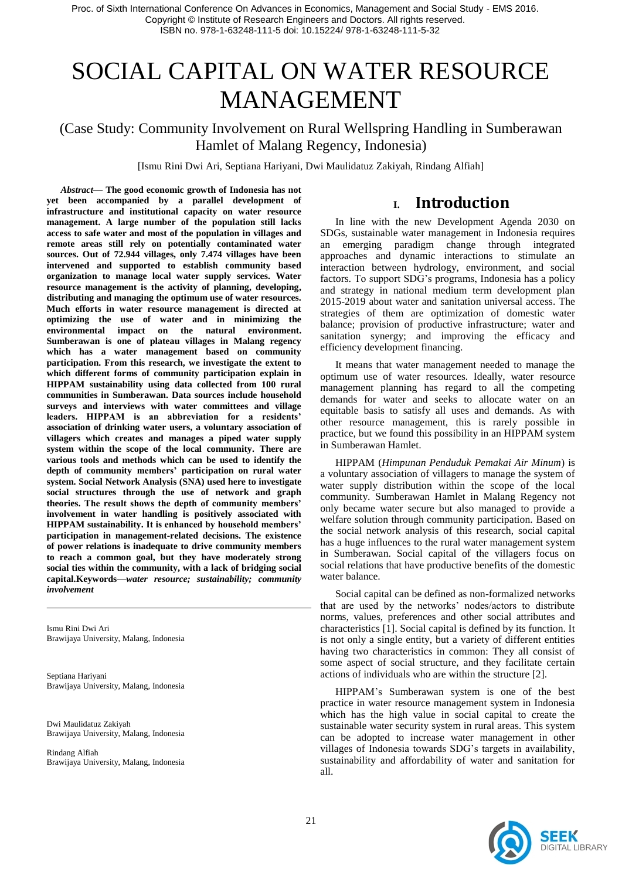# SOCIAL CAPITAL ON WATER RESOURCE MANAGEMENT

### (Case Study: Community Involvement on Rural Wellspring Handling in Sumberawan Hamlet of Malang Regency, Indonesia)

[Ismu Rini Dwi Ari, Septiana Hariyani, Dwi Maulidatuz Zakiyah, Rindang Alfiah]

*Abstract***— The good economic growth of Indonesia has not yet been accompanied by a parallel development of infrastructure and institutional capacity on water resource management. A large number of the population still lacks access to safe water and most of the population in villages and remote areas still rely on potentially contaminated water sources. Out of 72.944 villages, only 7.474 villages have been intervened and supported to establish community based organization to manage local water supply services. Water resource management is the activity of planning, developing, distributing and managing the optimum use of water resources. Much efforts in water resource management is directed at optimizing the use of water and in minimizing the environmental impact on the natural environment. Sumberawan is one of plateau villages in Malang regency which has a water management based on community participation. From this research, we investigate the extent to which different forms of community participation explain in HIPPAM sustainability using data collected from 100 rural communities in Sumberawan. Data sources include household surveys and interviews with water committees and village leaders. HIPPAM is an abbreviation for a residents' association of drinking water users, a voluntary association of villagers which creates and manages a piped water supply system within the scope of the local community. There are various tools and methods which can be used to identify the depth of community members' participation on rural water system. Social Network Analysis (SNA) used here to investigate social structures through the use of network and graph theories. The result shows the depth of community members' involvement in water handling is positively associated with HIPPAM sustainability. It is enhanced by household members' participation in management-related decisions. The existence of power relations is inadequate to drive community members to reach a common goal, but they have moderately strong social ties within the community, with a lack of bridging social capital.Keywords—***water resource; sustainability; community involvement*

Ismu Rini Dwi Ari Brawijaya University, Malang, Indonesia

Septiana Hariyani Brawijaya University, Malang, Indonesia

Dwi Maulidatuz Zakiyah Brawijaya University, Malang, Indonesia

Rindang Alfiah Brawijaya University, Malang, Indonesia

### **I. Introduction**

In line with the new Development Agenda 2030 on SDGs, sustainable water management in Indonesia requires an emerging paradigm change through integrated approaches and dynamic interactions to stimulate an interaction between hydrology, environment, and social factors. To support SDG's programs, Indonesia has a policy and strategy in national medium term development plan 2015-2019 about water and sanitation universal access. The strategies of them are optimization of domestic water balance; provision of productive infrastructure; water and sanitation synergy; and improving the efficacy and efficiency development financing.

It means that water management needed to manage the optimum use of water resources. Ideally, water resource management planning has regard to all the competing demands for water and seeks to allocate water on an equitable basis to satisfy all uses and demands. As with other resource management, this is rarely possible in practice, but we found this possibility in an HIPPAM system in Sumberawan Hamlet.

HIPPAM (*Himpunan Penduduk Pemakai Air Minum*) is a voluntary association of villagers to manage the system of water supply distribution within the scope of the local community. Sumberawan Hamlet in Malang Regency not only became water secure but also managed to provide a welfare solution through community participation. Based on the social network analysis of this research, social capital has a huge influences to the rural water management system in Sumberawan. Social capital of the villagers focus on social relations that have productive benefits of the domestic water balance.

Social capital can be defined as non-formalized networks that are used by the networks' nodes/actors to distribute norms, values, preferences and other social attributes and characteristics [1]. Social capital is defined by its function. It is not only a single entity, but a variety of different entities having two characteristics in common: They all consist of some aspect of social structure, and they facilitate certain actions of individuals who are within the structure [2].

HIPPAM's Sumberawan system is one of the best practice in water resource management system in Indonesia which has the high value in social capital to create the sustainable water security system in rural areas. This system can be adopted to increase water management in other villages of Indonesia towards SDG's targets in availability, sustainability and affordability of water and sanitation for all.

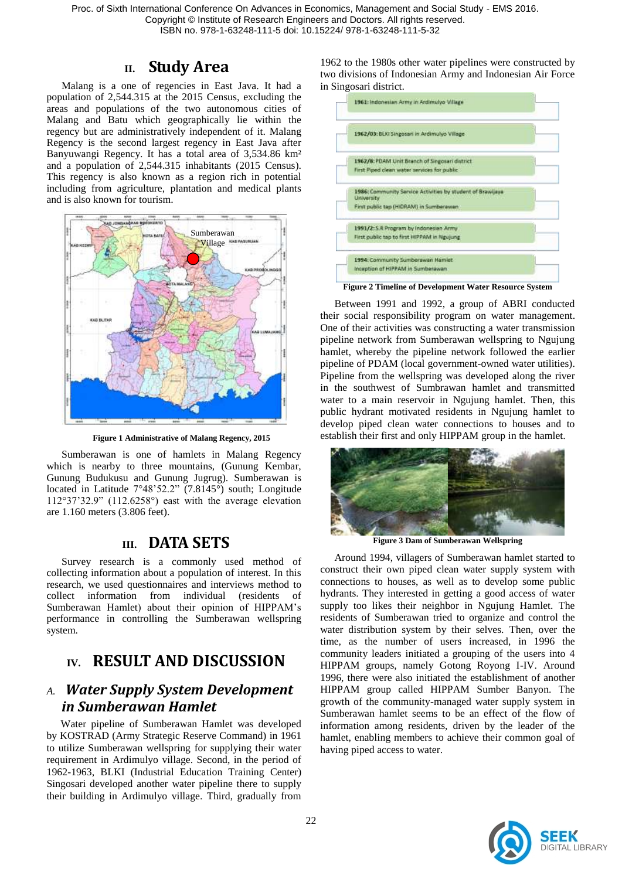# **II. Study Area**

Malang is a one of regencies in East Java. It had a population of 2,544.315 at the 2015 Census, excluding the areas and populations of the two autonomous cities of Malang and Batu which geographically lie within the regency but are administratively independent of it. Malang Regency is the second largest regency in East Java after Banyuwangi Regency. It has a total area of 3,534.86 km² and a population of 2,544.315 inhabitants (2015 Census). This regency is also known as a region rich in potential including from agriculture, plantation and medical plants and is also known for tourism.



**Figure 1 Administrative of Malang Regency, 2015**

Sumberawan is one of hamlets in Malang Regency which is nearby to three mountains, (Gunung Kembar, Gunung Budukusu and Gunung Jugrug). Sumberawan is located in Latitude  $7^{\circ}48'52.2"$  (7.8145 $^{\circ}$ ) south; Longitude  $112°37'32.9"$  (112.6258°) east with the average elevation are 1.160 meters (3.806 feet).

### **III. DATA SETS**

Survey research is a commonly used method of collecting information about a population of interest. In this research, we used questionnaires and interviews method to collect information from individual (residents of Sumberawan Hamlet) about their opinion of HIPPAM's performance in controlling the Sumberawan wellspring system.

# **IV. RESULT AND DISCUSSION**

### *A. Water Supply System Development in Sumberawan Hamlet*

Water pipeline of Sumberawan Hamlet was developed by KOSTRAD (Army Strategic Reserve Command) in 1961 to utilize Sumberawan wellspring for supplying their water requirement in Ardimulyo village. Second, in the period of 1962-1963, BLKI (Industrial Education Training Center) Singosari developed another water pipeline there to supply their building in Ardimulyo village. Third, gradually from

1962 to the 1980s other water pipelines were constructed by two divisions of Indonesian Army and Indonesian Air Force in Singosari district.



Between 1991 and 1992, a group of ABRI conducted their social responsibility program on water management. One of their activities was constructing a water transmission pipeline network from Sumberawan wellspring to Ngujung hamlet, whereby the pipeline network followed the earlier pipeline of PDAM (local government-owned water utilities). Pipeline from the wellspring was developed along the river in the southwest of Sumbrawan hamlet and transmitted water to a main reservoir in Ngujung hamlet. Then, this public hydrant motivated residents in Ngujung hamlet to develop piped clean water connections to houses and to establish their first and only HIPPAM group in the hamlet.



**Figure 3 Dam of Sumberawan Wellspring**

Around 1994, villagers of Sumberawan hamlet started to construct their own piped clean water supply system with connections to houses, as well as to develop some public hydrants. They interested in getting a good access of water supply too likes their neighbor in Ngujung Hamlet. The residents of Sumberawan tried to organize and control the water distribution system by their selves. Then, over the time, as the number of users increased, in 1996 the community leaders initiated a grouping of the users into 4 HIPPAM groups, namely Gotong Royong I-IV. Around 1996, there were also initiated the establishment of another HIPPAM group called HIPPAM Sumber Banyon. The growth of the community-managed water supply system in Sumberawan hamlet seems to be an effect of the flow of information among residents, driven by the leader of the hamlet, enabling members to achieve their common goal of having piped access to water.

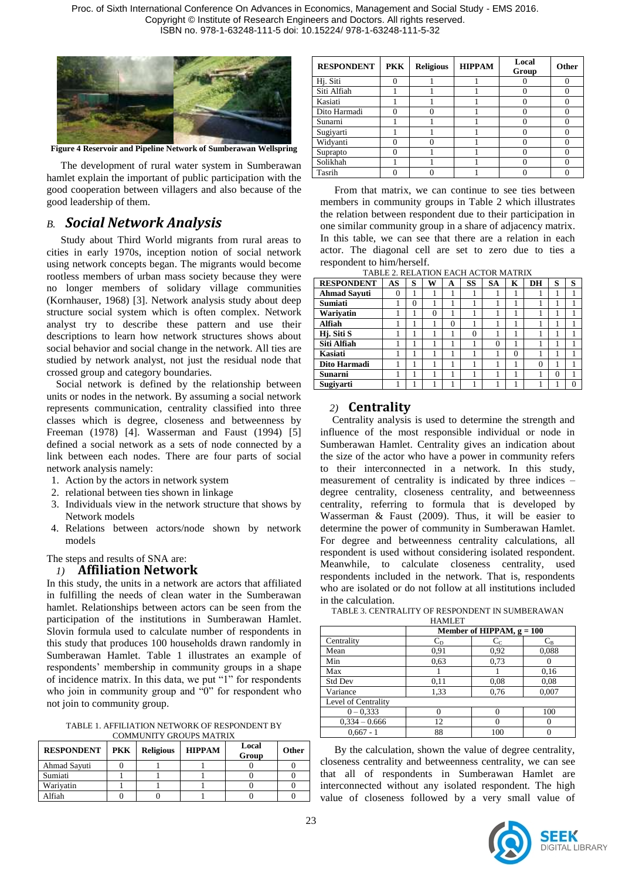

**Figure 4 Reservoir and Pipeline Network of Sumberawan Wellspring**

The development of rural water system in Sumberawan hamlet explain the important of public participation with the good cooperation between villagers and also because of the good leadership of them.

### *B. Social Network Analysis*

Study about Third World migrants from rural areas to cities in early 1970s, inception notion of social network using network concepts began. The migrants would become rootless members of urban mass society because they were no longer members of solidary village communities (Kornhauser, 1968) [3]. Network analysis study about deep structure social system which is often complex. Network analyst try to describe these pattern and use their descriptions to learn how network structures shows about social behavior and social change in the network. All ties are studied by network analyst, not just the residual node that crossed group and category boundaries.

Social network is defined by the relationship between units or nodes in the network. By assuming a social network represents communication, centrality classified into three classes which is degree, closeness and betweenness by Freeman (1978) [4]. Wasserman and Faust (1994) [5] defined a social network as a sets of node connected by a link between each nodes. There are four parts of social network analysis namely:

- 1. Action by the actors in network system
- 2. relational between ties shown in linkage
- 3. Individuals view in the network structure that shows by Network models
- 4. Relations between actors/node shown by network models

#### The steps and results of SNA are:

#### *1)* **Affiliation Network**

In this study, the units in a network are actors that affiliated in fulfilling the needs of clean water in the Sumberawan hamlet. Relationships between actors can be seen from the participation of the institutions in Sumberawan Hamlet. Slovin formula used to calculate number of respondents in this study that produces 100 households drawn randomly in Sumberawan Hamlet. Table 1 illustrates an example of respondents' membership in community groups in a shape of incidence matrix. In this data, we put "1" for respondents who join in community group and  $"0"$  for respondent who not join to community group.

TABLE 1. AFFILIATION NETWORK OF RESPONDENT BY COMMUNITY GROUPS MATRIX

| <b>RESPONDENT</b> | <b>PKK</b> | <b>Religious</b> | <b>HIPPAM</b> | Local<br>Group | <b>Other</b> |
|-------------------|------------|------------------|---------------|----------------|--------------|
| Ahmad Sayuti      |            |                  |               |                |              |
| Sumiati           |            |                  |               |                |              |
| Wariyatin         |            |                  |               |                |              |
| Alfiah            |            |                  |               |                |              |

| <b>RESPONDENT</b> | <b>PKK</b> | <b>Religious</b> | <b>HIPPAM</b> | Local<br>Group | <b>Other</b> |
|-------------------|------------|------------------|---------------|----------------|--------------|
| Hj. Siti          |            |                  |               |                |              |
| Siti Alfiah       |            |                  |               |                |              |
| Kasiati           |            |                  |               |                |              |
| Dito Harmadi      |            |                  |               |                |              |
| Sunarni           |            |                  |               |                |              |
| Sugiyarti         |            |                  |               |                |              |
| Widyanti          |            |                  |               |                |              |
| Suprapto          |            |                  |               |                |              |
| Solikhah          |            |                  |               |                |              |
| Tasrih            |            |                  |               |                |              |

From that matrix, we can continue to see ties between members in community groups in Table 2 which illustrates the relation between respondent due to their participation in one similar community group in a share of adjacency matrix. In this table, we can see that there are a relation in each actor. The diagonal cell are set to zero due to ties a respondent to him/herself.

|                                          | TABLE 2. RELATION EACH ACTOR MATRIX |  |  |  |  |
|------------------------------------------|-------------------------------------|--|--|--|--|
| ECDOMDENT   AC C UV   A CC   CA   K   DH |                                     |  |  |  |  |

| <b>RESPONDENT</b>       | AS       | S        | W        | А        | SS       | <b>SA</b> | K | DH | S        | S |
|-------------------------|----------|----------|----------|----------|----------|-----------|---|----|----------|---|
| <b>Ahmad Sayuti</b>     | $\theta$ |          |          |          |          |           |   |    |          |   |
| <b>Sumiati</b>          |          | $\theta$ |          |          |          |           |   |    |          |   |
| Wariyatin               |          |          | $\theta$ | 1        |          |           |   |    |          |   |
| Alfiah                  |          |          |          | $\theta$ |          |           |   |    |          |   |
| Hj. Siti $\overline{S}$ |          |          |          |          | $\Omega$ |           |   |    |          |   |
| Siti Alfiah             |          |          |          |          |          | $\Omega$  |   |    |          |   |
| <b>Kasiati</b>          |          |          |          |          |          |           | 0 |    |          |   |
| Dito Harmadi            |          |          |          |          |          |           |   | 0  |          |   |
| <b>Sunarni</b>          |          |          |          |          |          |           |   |    | $\theta$ |   |
| Sugiyarti               |          |          |          |          |          |           |   |    |          |   |

#### *2)* **Centrality**

Centrality analysis is used to determine the strength and influence of the most responsible individual or node in Sumberawan Hamlet. Centrality gives an indication about the size of the actor who have a power in community refers to their interconnected in a network. In this study, measurement of centrality is indicated by three indices – degree centrality, closeness centrality, and betweenness centrality, referring to formula that is developed by Wasserman & Faust (2009). Thus, it will be easier to determine the power of community in Sumberawan Hamlet. For degree and betweenness centrality calculations, all respondent is used without considering isolated respondent. Meanwhile, to calculate closeness centrality, used respondents included in the network. That is, respondents who are isolated or do not follow at all institutions included in the calculation.

TABLE 3. CENTRALITY OF RESPONDENT IN SUMBERAWAN

|                     | <b>HAMLET</b>               |                  |         |  |  |  |
|---------------------|-----------------------------|------------------|---------|--|--|--|
|                     | Member of HIPPAM, $g = 100$ |                  |         |  |  |  |
| Centrality          | $C_{D}$                     | $\mathrm{C_{C}}$ | $C_{B}$ |  |  |  |
| Mean                | 0,91                        | 0,92             | 0,088   |  |  |  |
| Min                 | 0.63                        | 0,73             |         |  |  |  |
| Max                 |                             |                  | 0.16    |  |  |  |
| <b>Std Dev</b>      | 0,11                        | 0.08             | 0.08    |  |  |  |
| Variance            | 1,33                        | 0.76             | 0,007   |  |  |  |
| Level of Centrality |                             |                  |         |  |  |  |
| $0 - 0.333$         |                             |                  | 100     |  |  |  |
| $0,334 - 0.666$     | 12                          | 0                |         |  |  |  |
| $0.667 - 1$         | 88                          | 100              |         |  |  |  |

By the calculation, shown the value of degree centrality, closeness centrality and betweenness centrality, we can see that all of respondents in Sumberawan Hamlet are interconnected without any isolated respondent. The high value of closeness followed by a very small value of

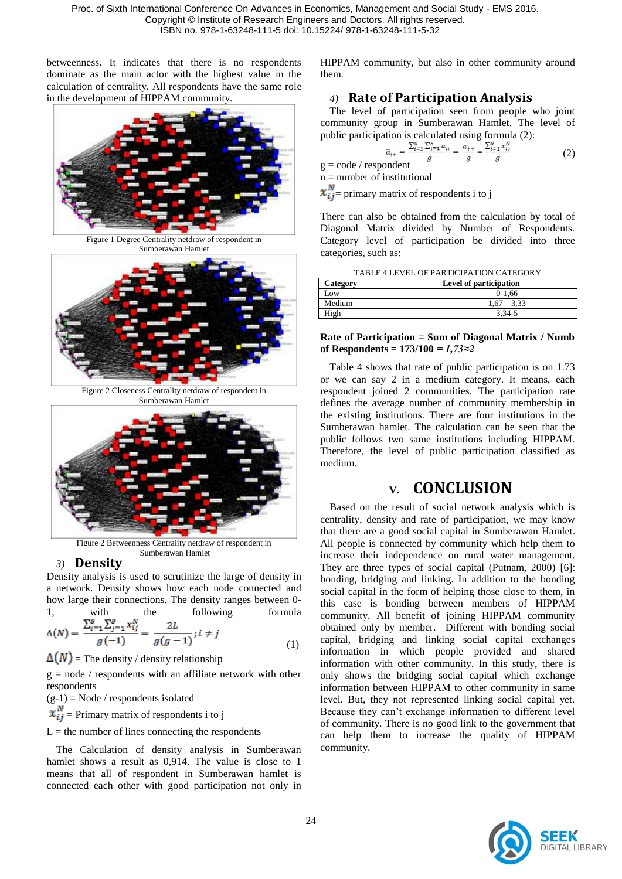betweenness. It indicates that there is no respondents dominate as the main actor with the highest value in the calculation of centrality. All respondents have the same role in the development of HIPPAM community.



Figure 1 Degree Centrality netdraw of respondent in Sumberawan Hamlet



Figure 2 Closeness Centrality netdraw of respondent in Sumberawan Hamlet



Figure 2 Betweenness Centrality netdraw of respondent in Sumberawan Hamlet

#### *3)* **Density**

Density analysis is used to scrutinize the large of density in a network. Density shows how each node connected and how large their connections. The density ranges between 0- 1 with the following formula

$$
\Delta(N) = \frac{\sum_{i=1}^{g} \sum_{j=1}^{g} x_{ij}^{N}}{g(-1)} = \frac{2L}{g(g-1)}; i \neq j
$$
\n(1)

 $\Delta(N)$  = The density / density relationship

 $g = node / response$  respondents with an affiliate network with other respondents

 $(g-1)$  = Node / respondents isolated

 $x_{ij}^N$  = Primary matrix of respondents i to j

 $L =$  the number of lines connecting the respondents

The Calculation of density analysis in Sumberawan hamlet shows a result as 0.914. The value is close to 1 means that all of respondent in Sumberawan hamlet is connected each other with good participation not only in HIPPAM community, but also in other community around them.

### *4)* **Rate of Participation Analysis**

The level of participation seen from people who joint community group in Sumberawan Hamlet. The level of public participation is calculated using formula (2):

$$
\overline{a}_{i+} = \frac{\sum_{i=1}^{n} \sum_{j=1}^{n} a_{ij}}{g} = \frac{a_{++}}{g} = \frac{\sum_{i=1}^{n} x_{ij}^{*}}{g}
$$
(2)

 $g = code / responder$ 

 $n =$  number of institutional

 $x_{ij}^N$  primary matrix of respondents i to j

There can also be obtained from the calculation by total of Diagonal Matrix divided by Number of Respondents. Category level of participation be divided into three categories, such as:

| Category       | Level of participation |
|----------------|------------------------|
| $_{\text{OW}}$ | $0-1.66$               |
| Medium         | $1.67 - 3.33$          |
| High           | 3.34-5                 |

#### **Rate of Participation = Sum of Diagonal Matrix / Numb of Respondents = 173/100** *= 1,73≈2*

Table 4 shows that rate of public participation is on 1.73 or we can say 2 in a medium category. It means, each respondent joined 2 communities. The participation rate defines the average number of community membership in the existing institutions. There are four institutions in the Sumberawan hamlet. The calculation can be seen that the public follows two same institutions including HIPPAM. Therefore, the level of public participation classified as medium.

# **V. CONCLUSION**

Based on the result of social network analysis which is centrality, density and rate of participation, we may know that there are a good social capital in Sumberawan Hamlet. All people is connected by community which help them to increase their independence on rural water management. They are three types of social capital (Putnam, 2000) [6]: bonding, bridging and linking. In addition to the bonding social capital in the form of helping those close to them, in this case is bonding between members of HIPPAM community. All benefit of joining HIPPAM community obtained only by member. Different with bonding social capital, bridging and linking social capital exchanges information in which people provided and shared information with other community. In this study, there is only shows the bridging social capital which exchange information between HIPPAM to other community in same level. But, they not represented linking social capital yet. Because they can't exchange information to different level of community. There is no good link to the government that can help them to increase the quality of HIPPAM community.